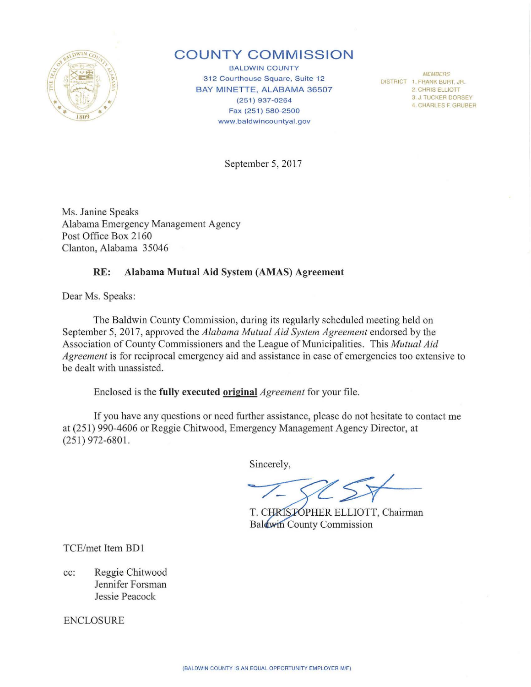

### **COUNTY COMMISSION**

BALDWIN COUNTY 312 Courthouse Square, Suite 12 BAY MINETTE, ALABAMA 36507 (251) 937-0264 Fax (251) 580-2500 www.baldwincountyal.gov

*MEMBERS*  DISTRICT 1. FRANK BURT, JR. 2 CHRIS ELLIOTT 3 J TUCKER DORSEY 4 CHARLES F GRUBER

September 5, 2017

Ms. Janine Speaks Alabama Emergency Management Agency Post Office Box 2160 Clanton, Alabama 35046

#### **RE: Alabama Mutual Aid System (AMAS) Agreement**

Dear Ms. Speaks:

The Baldwin County Commission, during its regularly scheduled meeting held on September 5, 2017, approved the *Alabama Mutual Aid System Agreement* endorsed by the Association of County Commissioners and the League of Municipalities. This *Mutual Aid Agreement* is for reciprocal emergency aid and assistance in case of emergencies too extensive to be dealt with unassisted.

Enclosed is the **fully executed original** *Agreement* for your file.

If you have any questions or need further assistance, please do not hesitate to contact me at (251) 990-4606 or Reggie Chitwood, Emergency Management Agency Director, at (251) 972-6801.

Sincerely,

T. CHRISTOPHER ELLIOTT, Chairman Baldwin County Commission

TCE/met Item BD1

cc: Reggie Chitwood Jennifer Forsman Jessie Peacock

ENCLOSURE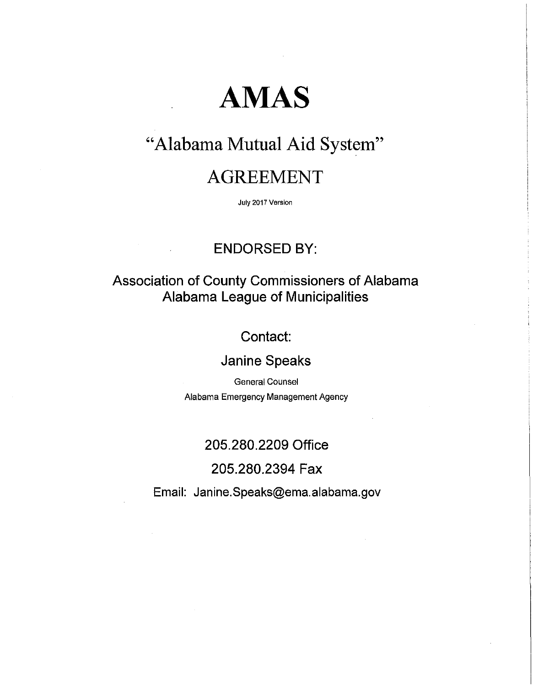# **AMAS**

# "Alabama Mutual Aid System"

## AGREEMENT

July 2017 Version

### ENDORSED BY:

### Association of County Commissioners of Alabama Alabama League of Municipalities

### Contact:

### Janine Speaks

General Counsel Alabama Emergency Management Agency

### 205.280.2209 Office

### 205.280.2394 Fax

Email: Janine.Speaks@ema.alabama.gov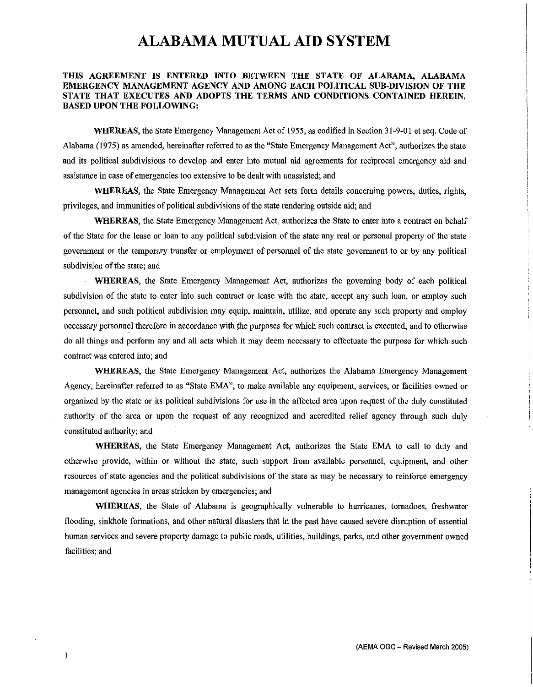#### **THIS AGREEMENT IS ENTERED INTO BETWEEN THE STATE OF ALABAMA, ALABAMA EMERGENCY MANAGEMENT AGENCY AND AMONG EACH POLITICAL SUB-DIVISION OF THE STATE THAT EXECUTES AND ADOPTS THE TERMS AND CONDITIONS CONTAINED HEREIN, BASED UPON THE FOLLOWING:**

**WHEREAS,** the State Emergency Management Act of 1955, as codified in Section 31-9-01 et seq. Code of Alabama (1975) as amended, hereinafter referred to as the "State Emergency Management Act", authorizes the state and its political subdivisions to develop and enter into mutual aid agreements for reciprocal emergency aid and assistance in case of emergencies too extensive to be dealt with unassisted; and

**WHEREAS,** the State Emergency Management Act sets forth details concerning powers, duties, rights, privileges, and immunities of political subdivisions of the state rendering outside aid; and

**WHEREAS,** the State Emergency Management Act, authorizes the State to enter into a contract on behalf of the State for the lease or loan to any political subdivision of the state any real or personal property of the state government or the temporary transfer or employment of personnel of the state government to or by any political subdivision of the state; and

**WHEREAS,** the State Emergency Management Act, authorizes the governing body of each political subdivision of the state to enter into such contract or lease with the state, accept any such loan, or employ such personnel, and such political subdivision may equip, maintain, utilize, and operate any such property and employ necessary personnel therefore in accordance with the purposes for which such contract is executed, and to otherwise do all things and perform any and all acts which it may deem necessary to effectuate the purpose for which such **contract was entered into; and** 

**WHEREAS,** the State Emergency Management Act, authorizes the Alabama Emergency Management Agency, hereinafter referred to as "State EMA", to make available any equipment, services, or facilities owned or organized by the state or its political subdivisions for use in the affected area upon request of the duly constituted authority of the area or upon the request of any recognized and accredited relief agency through such duly constituted authority; and

**WHEREAS,** the State Emergency Management Act, authorizes the State EMA to call to duty and otherwise provide, within or without the state, such support from available persormel, equipment, and other resources of state agencies and the political subdivisions of the state as may be necessary to reinforce emergency **management agencies in areas stricken by emergencies; and** 

**WHEREAS,** the State of Alabama is geographically vulnerable to hurricanes, tornadoes, freshwater flooding, sinkhole formations, and other natural disasters that in the past have caused severe disruption of essential human services and severe property damage to public roads, utilities, buildings, parks, and other government owned facilities; and

 $\rightarrow$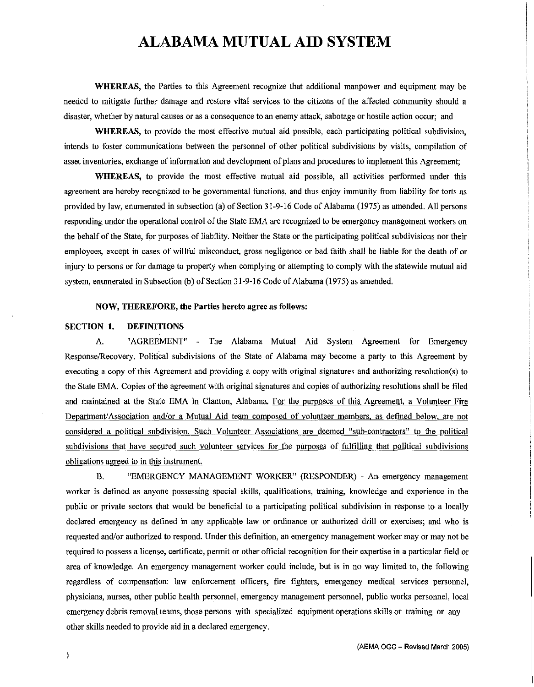WHEREAS, the Parties to this Agreement recognize that additional manpower and equipment may be needed to mitigate further damage and restore vital services to the citizens of the affected community should a disaster, whether by natural causes or as a consequence to an enemy attack, sabotage or hostile action occur; and

WHEREAS, to provide the most effective mutual aid possible, each participating political subdivision, intends to foster communications between the personnel of other political subdivisions by visits, compilation of asset inventories, exchange of information and development of plans and procedures to implement this Agreement;

WHEREAS, to provide the most effective mutual aid possible, all activities performed under this agreement are hereby recognized to be governmental functions, and thus enjoy immunity from liability for torts as provided by law, enumerated in subsection (a) of Section 31-9-16 Code of Alabama (1975) as amended. All persons responding under the operational control of the State EMA are recognized to be emergency management workers on the behalf of the State, for purposes of liability. Neither the State or the participatiog political subdivisions nor their employees, except in cases of willful misconduct, gross negligence or bad faith shall be liable for the death of or injury to persons or for damage to property when complying or attempting to comply with the statewide mutual aid system, enumerated in Subsection (b) of Section 31-9-16 Code of Alabama (1975) as amended.

#### NOW, THEREFORE, the Parties hereto agree as follows:

#### SECTION 1. DEFINITIONS

A. "AGREEMENT" - The Alabama Mutual Aid System Agreement for Emergency Response/Recovery. Political subdivisions of the State of Alabama may become a party to this Agreement by executing a copy of this Agreement and providing a copy with original signatures and authorizing resolution(s) to the State EMA. Copies of the agreement with original signatures and copies of authoriziog resolutions shall be filed and maintained at the State EMA in Clanton, Alabama. For the purposes of this Agreement, a Volunteer Fire Department/Association and/or a Mutual Aid team composed of volunteer members, as defined below, are not considered a political subdivision. Such Volunteer Associations are deemed "sub-contractors" to the political subdivisions that have secured such volunteer services for the purposes of fulfilling that political subdivisions obligations agreed to in this instrument.

B. "EMERGENCY MANAGEMENT WORKER" (RESPONDER) - An emergency management worker is defined as anyone possessing special skills, qualifications, training, knowledge and experience in the public or private sectors that would be beneficial to a participating political subdivision io response to a locally declared emergency as defined in any applicable law or ordinance or authorized drill or exercises; and who is requested and/or authorized to respond. Under this definition, an emergency management worker may or may not be required to possess a license, certificate, permit or other official recognition for their expertise in a particular field or area of knowledge. An emergency management worker could include, but is in no way limited to, the following regardless of compensation: law enforcement officers, fire fighters, emergency medical services personnel, physicians, nurses, other public health personnel, emergency management personnel, public works personnel, local emergency debris removal teams, those persons with specialized equipment operations skills or training or any other skills needed to provide aid in a declared emergency.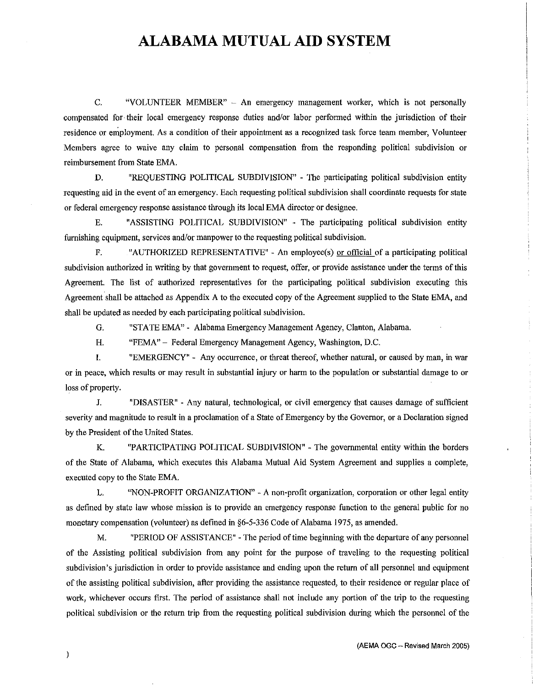C. "VOLUNTEER MEMBER" - An emergency management worker, which is not personally compensated for· their local emergency response duties and/or labor performed within the jurisdiction of their residence or employment. As a condition of their appointment as a recognized task force team member, Volunteer Members agree to waive any claim to personal compensation from the responding political subdivision or reimbursement from State EMA.

D. "REQUESTING POLITICAL SUBDIVISION" - The participating political subdivision entity requesting aid in the event of an emergency. Each requesting political subdivision shall coordinate requests for state or federal emergency response assistance through its local EMA director or designee.

E. "ASSISTING POLITICAL SUBDIVISION" - The participating political subdivision entity furnishing equipment, services and/or manpower to the requesting political subdivision.

F. "AUTHORIZED REPRESENTATIVE" - An employee(s) or official of a participating political subdivision authorized in writing by that government to request, offer, or provide assistance under the terms of this Agreement. The list of authorized representatives for the participating political subdivision executing this Agreement shall be attached as Appendix A to the executed copy of the Agreement supplied to the State EMA, and shall be updated as needed by each participating political subdivision.

G. "STATE EMA" - Alabama Emergency Management Agency, Clanton, Alabama.

1-1. "FEMA" - Federal Emergency Management Agency, Washington, D.C.

I. "EMERGENCY" - Any occurrence, or threat thereof, whether natural, or caused by man, in war or in peace, which results or may result in substantial injury or harm to the population or substantial damage to or loss of property.

J. "DISASTER" - Any natural, technological, or civil emergency that causes damage of sufficient severity and magnitude to result in a proclamation of a State of Emergency by the Governor, or a Declaration signed by the President of the United States.

K. "PARTICIPATING POLITICAL SUBDIVISION" - The governmental entity within the borders of the State of Alabama, which executes this Alabama Mutual Aid System Agreement and supplies a complete, executed copy to the State EMA.

L. "NON-PROFIT ORGANIZATION" - A non-profit organization, corporation or other legal entity as defined by state law whose mission is to provide an emergency response function to the general public for no monetary compensation (volunteer) as defined in §6-5-336 Code of Alabama 1975, as amended.

M. "PERIOD OF ASSISTANCE" - The period of time beginning with the departure of any personnel of the Assisting political subdivision from any point for the purpose of traveling to the requesting political subdivision's jurisdiction in order to provide assistance and ending upon the return of all personnel and equipment of the assisting political subdivision, after providing the assistance requested, to their residence or regular place of work, whichever occurs first. The period of assistance shall not include any portion of the trip to the requesting political subdivision or the return trip from the requesting political subdivision during which the personnel of the

 $\lambda$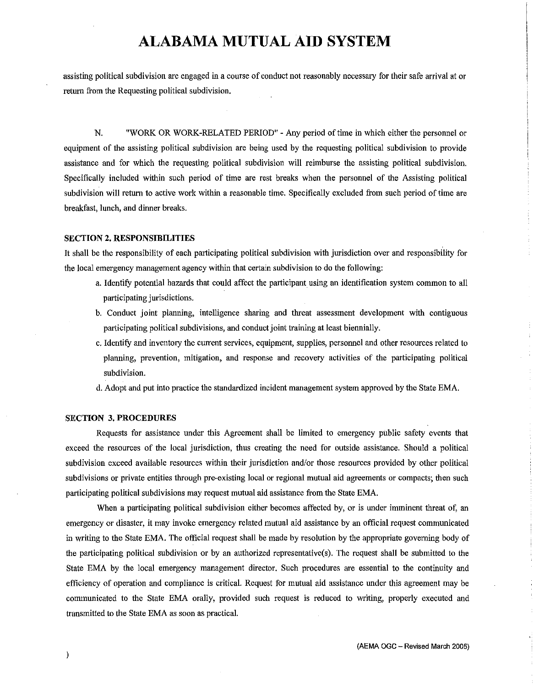assisting political subdivision are engaged in a course of conduct not reasonably necessary for their safe arrival at or return from the Requesting political subdivision.

N. "WORK OR WORK-RELATED PERIOD" - Any period of time in which either the personnel or equipment of the assisting political subdivision are being used by the requesting political subdivision to provide assistance and for which the requesting political subdivision will reimburse the assisting political subdivision. Specifically included within such period of time are rest breaks when the personnel of the Assisting political subdivision will return to active work within a reasonable time. Specifically excluded from such period of time are breakfast, lunch, and dinner breaks.

#### **SECTION 2. RESPONSIBILITIES**

It shall be the responsibility of each participating political subdivision with jurisdiction over and responsibllity for the local emergency management agency within that certain subdivision to do the following:

- a. Identify potential hazards that could affect the participant using an identification system common to all participating jurisdictions.
- b. Conduct joint planning, intelligence sharing and threat assessment development with contiguous participating political subdivisions, and conduct joint training at least biennially.
- c. Identify and inventory the current services, equipment, supplies, personnel and other resources related to planning, prevention, mitigation, and response and recovery activities of the participating political subdivision.
- d. Adopt and put into practice the standardized incident management system approved by the State EMA.

#### **SECTION 3. PROCEDURES**

Requests for assistance under this Agreement shall be limited to emergency public safety events that exceed the resources of the local jurisdiction, thus creating the need for outside assistance. Should a political subdivision exceed available resources within their jurisdiction and/or those resources provided by other political subdivisions or private entities through pre-existing local or regional mutual aid agreements or compacts; then such participating political subdivisions may request mutual aid assistance from the State EMA.

When a participating political subdivision either becomes affected by, or is under imminent threat of, an emergency or disaster, it may invoke emergency related mutual aid assistance by an official request communicated in writing to the State EMA. The official request shall be made by resolution by the appropriate governing body of 1he participating political subdivision or by an authorized representative(s). The request shall be submitted to the State EMA by the local emergency management director. Such procedures are essential to the continuity and efficiency of operation and compliance is critical. Request for mutual aid assistance under this agreement may be communicated to the State EMA orally, provided such request is reduced to writing, properly executed and transmitted to the State EMA as soon as practical.

 $\lambda$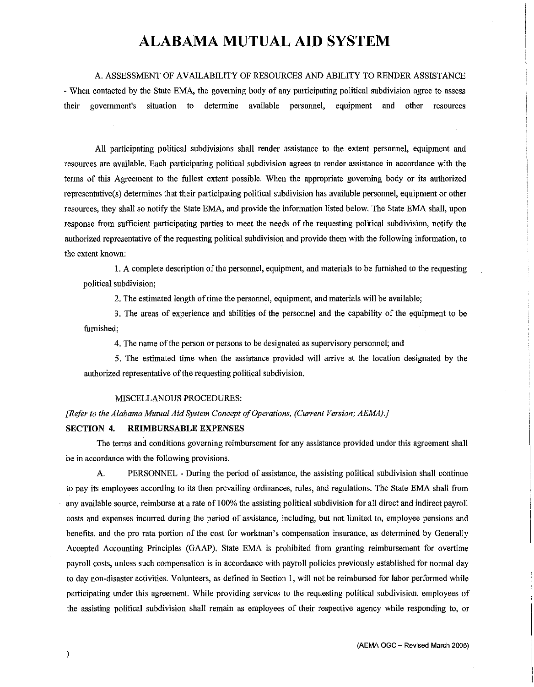#### A. ASSESSMENT OF AVAILABILITY OF RESOURCES AND ABILITY TO RENDER ASSISTANCE

- When contacted by the State EMA, the governing body of any participating political subdivision agree to assess their government's situation to determine available personnel, equipment and other resources

All participating political subdivisions shall render assistance to the extent personnel, equipment and resources are available. Each participating political subdivision agrees to render assistance in accordance with the terms of this Agreement to the fullest extent possible. When the appropriate governing body or its authorized representative(s) determines that their participating political subdivision has available personnel, equipment or other resources, they shall so notify the State EMA, and provide the information listed below. The State EMA shall, upon response from sufficient participating parties to meet the needs of the requesting political subdivision, notify the authorized representative of the requesting political subdivision and provide them with the following information, to the extent known:

1. A complete description of the personnel, equipment, and materials to be furnished to the requesting political subdivision;

2. The estimated length of time the personnel, equipment, and materials will be available;

3. The areas of experience and abilities of the personnel and the capability of the equipment to be furnished;

4. The name of the person or persons to be designated as supervisory personnel; and

5. The estimated time when the assistance provided will arrive at the location designated by the authorized representative of the requesting political subdivision.

#### M!SCELLANOUS PROCEDURES:

*[Refer to the Alabama Mutual Aid System Concept of Operations, (Current Version; AEMA).]* 

#### **SECTION 4. REIMBURSABLE EXPENSES**

The terms and conditions governing reimbursement for any assistance provided under this agreement shall be in accordance with the following provisions.

A. PERSONNEL - During the period of assistance, the assisting political subdivision shall continue to pay its employees according to its then prevailing ordinances, rules, and regulations. The State EMA shall from any available source, reimburse at a rate of I 00% the assisting political subdivision for all direct and indirect payroll costs and expenses incurred during the period of assistance, including, but not limited to, employee pensions and benefits, and the pro rata portion of the cost for workman's compensation insurance, as determined by Generally Accepted Accounting Principles (GAAP). State EMA is prohibited from granting reimbursement for overtime payroll costs, unless such compensation is in accordance with payroll policies previously established for normal day to day non-disaster activities. Volunteers, as defined in Section 1, will not be reimbursed for labor performed while participating under this agreement. While providing services to the requesting political subdivision, employees of the assisting political subdivision shall remain as employees of their respective agency while responding to, or

 $\lambda$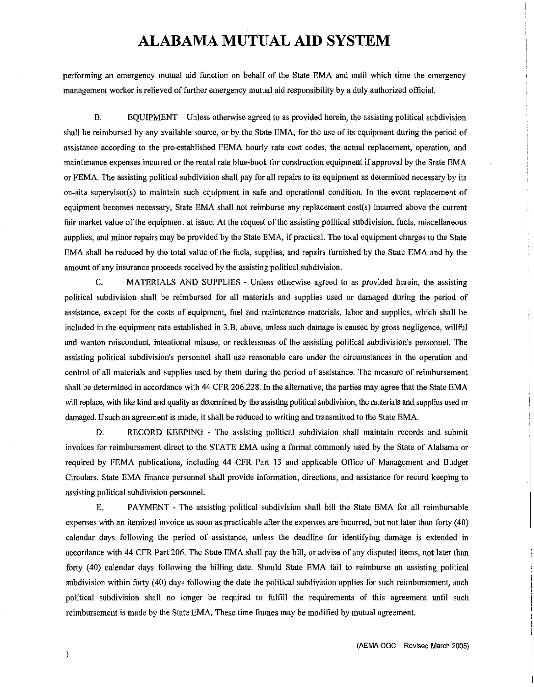performing an emergency mutual aid function on behalf of the State EMA and until which time the emergency management worker is relieved offurther emergency mutual aid responsibility by a duly authorized official.

B. EQUIPMENT - Unless otherwise agreed to as provided herein, the assisting political subdivision shall be reimbursed by any available source, or by the State EMA, for the use of its equipment during the period of assistance according to the pre-established FEMA hourly rate cost codes, the actual replacement, operation, and maintenance expenses incurred or the rental rate blue-book for construction equipment if approval by the State EMA or FEMA. The assisting political subdivision shall pay for all repairs to its equipment as determined necessary by its on-site supervisor(s) to maintain such equipment in safe and operational condition. In the event replacement of equipment becomes necessary, State EMA shall not reimburse any replacement cost(s) incurred above the current fair market value of the equipment at issue. At the request of the assisting political subdivision, fuels, miscellaneous supplies, and minor repairs may be provided by the State EMA, if practical. The total equipment charges to the State EMA shall be reduced by the total value of the fuels, supplies, and repairs furnished by the State EMA and by the amount of any insurance proceeds received by the assisting political subdivision.

C. MATERIALS AND SUPPLIES - Unless otherwise agreed to as provided herein, the assisting political subdivision shall be reimbursed for all materials and supplies used or damaged during the period of assistance, except for the costs of equipment, fuel and maintenance materials, labor and supplies, which shall be included in the equipment rate established in 3 .B. above, unless such damage is caused by gross negligence, willful and wanton misconduct, intentional misuse, or recklessness of the assisting political subdivision's personnel. The assisting political subdivision's personnel shall use reasonable care under the circumstances in the operation and control of all materials and supplies used by them during the period of assistance. The measure of reimbursement shall be determined in accordance with 44 CFR 206.228. In the alternative, the parties may agree that the State EMA will replace, with like kind and quality as determined by the assisting political subdivision, the materials and supplies used or damaged. If such an agreement is made, it shall be reduced to writing and transmitted to the State EMA.

D. RECORD KEEPING - The assisting political subdivision shall maintain records and submit invoices for reimbursement direct to the STATE EMA using a format commonly used by the State of Alabama or required by FEMA publications, including 44 CFR Part 13 and applicable Office of Management and Budget Circulars. State EMA finance personnel shall provide information, directions, and assistance for record keeping to assisting political subdivision personnel.

E. PAYMENT - The assisting political subdivision shall bill the State EMA for all reimbursable expenses with an itemized invoice as soon as practicable after the expenses are incurred, but not later than forty ( 40) calendar days following the period of assistance, unless the deadline for identifying damage is extended in accordance with 44 CFR Part 206. The State EMA shall pay the bill, or advise of any disputed items, not later than forty ( 40) calendar days following the billing date. Should State EMA fail to reimburse an assisting political subdivision within forty (40) days following the date the political subdivision applies for such reimbursement, such political subdivision shall no longer be required to fulfill the requirements of this agreement until such reimbursement is made by the State EMA. These time frames may be modified by mutual agreement.

 $\big)$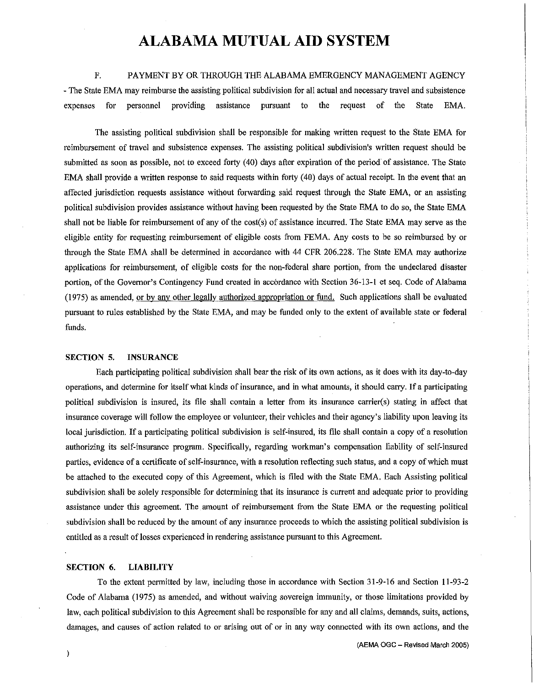#### F. PAYMENT BY OR THROUGH THE ALABAMA EMERGENCY MANAGEMENT AGENCY

- The State EMA may reimburse the assisting political subdivision for all actual and necessary travel and subsistence expenses for personnel providing assistance pursuant to the request of the State EMA.

The assisting political subdivision shall be responsible for making written request to the State EMA for reimbursement of travel and subsistence expenses. The assisting political subdivision's written request should be submitted as soon as possible, not to exceed forty (40) days after expiration of the period of assistance. The State EMA shall provide a written response to said requests within forty ( 40) days of actual receipt. In the event that an affected jurisdiction requests assistance without forwarding said request through the State EMA, or an assisting political subdivision provides assistance without having been requested by the State EMA to do so, the State EMA shall not be liable for reimbursement of any of the cost(s) of assistance incurred. The State EMA may serve as the eligible entity for requesting reimbursement of eligible costs from FEMA. Any costs to be so reimbursed by or through the State EMA shall be determined in accordance with 44 CFR 206.228. The State EMA may authorize applications for reimbursement, of eligible costs for the non-federal share portion, from the undeclared disaster portion, of the Governor's Contingency Fund created in accordance with Section 36-13-1 et seq. Code of Alabama (1975) as amended, or by any other legally authorized appropriation or fund. Such applications shall be evaluated pursuant to rules established by the State EMA, and may be funded only to the extent of available state or federal funds.

#### **SECTION 5. INSURANCE**

Each participating political subdivision shall bear the risk of its own actions, as it does with its day-to-day operations, and determine for itself what kinds of insurance, and in what amounts, it should carry. If a participating political subdivision is insured, its file shall contain a letter from its insurance carrier(s) stating in affect that insurance coverage will follow the employee or volunteer, their vehicles and their agency's liability npon leaving its local jurisdiction. If a participating political subdivision is self-insured, its file shall contain a copy of a resolution authorizing its self-insurance program. Specifically, regarding workman's compensation liability of self-insured parties, evidence of a certificate of self-insurance, with a resolution reflecting such status, and a copy of which must be attached to the executed copy of this Agreement, which is filed with the State EMA. Each Assisting political subdivision shall be solely responsible for determining that its insurance is current and adequate prior to providing assistance under this agreement. The amount of reimbursement from the State EMA or the requesting political subdivision shall be reduced by the amount of any insurance proceeds to which the assisting political subdivision is entitled as a result of losses experienced in rendering assistance pursuant to this Agreement.

#### **SECTION 6. LIABILITY**

To the extent permitted by law, including those in accordance with Section 31-9-16 and Section 11-93-2 Code of Alabama (1975) as amended, and without waiving sovereign immunity, or those limitations provided by law, each political subdivision to this Agreement shall be responsible for any and all claims, demands, suits, actions, damages, and causes of action related to or arising out of or in any way connected with its own actions, and the

(AEMA OGC - Revised March 2005)

 $\,$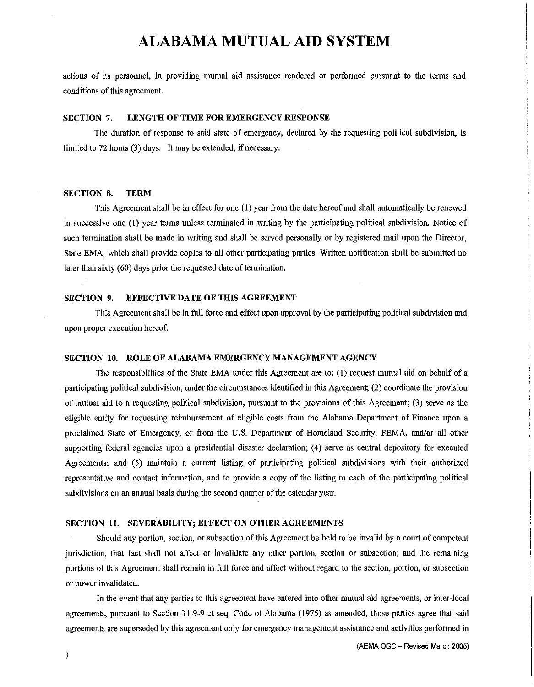actions of its personnel, in providing mutual aid assistance rendered or performed pursuant to the terms and conditions of this agreement.

#### **SECTION** 7. **LENGTH OF TIME FOR EMERGENCY RESPONSE**

The duration of response to said state of emergency, declared by the requesting political subdivision, is limited to 72 hours (3) days. It may be extended, if necessary.

#### **SECTION 8. TERM**

This Agreement shall be in effect for one (I) year from the date hereof and shall automatically be renewed in successive one (!) year terms unless terminated in writing by the participating political subdivision. Notice of such termination shall be made in writing and shall be served personally or by registered mail upon the Director, State EMA, which shall provide copies to all other participating parties. Written notification shall be submitted no later than sixty (60) days prior the requested date of termination.

#### **SECTION 9. EFFECTIVE DATE OF THIS AGREEMENT**

This Agreement shall be in full force and effect upon approval by the participating political subdivision and upon proper execution hereof.

#### **SECTION 10. ROLE OF ALABAMA EMERGENCY MANAGEMENT AGENCY**

The responsibilities of the State EMA under this Agreement are to:(!) request mutual aid on behalf of a participating political subdivision, under the circumstances identified in this Agreement; (2) coordinate the provision of mutual aid to a requesting political subdivision, pursuant to the provisions of this Agreement; (3) serve as the eligible entity for requesting reimbursement of eligible costs from the Alabama Department of Finance upon a proclaimed State of Emergency, or from the U.S. Department of Homeland Security, FEMA, and/or all other supporting federal agencies upon a presidential disaster declaration; (4) serve as central depository for executed Agreements; and (5) maintain a current listing of participating political subdivisions with their authorized representative and contact information, and to provide a copy of the listing to each of the participating political subdivisions on an annual basis during the second quarter of the calendar year.

#### **SECTION 11. SEVERABILITY; EFFECT ON OTHER AGREEMENTS**

Should any portion, section, or subsection of this Agreement be held to be invalid by a court of competent jurisdiction, that fact shall not affect or invalidate any other portion, section or subsection; and the remaining portions of this Agreement shall remain in full force and affect without regard to the section, portion, or subsection or power invalidated.

In the event that any parties to this agreement have entered into other mutual aid agreements, or inter-local agreements, pursuant to Section 31-9-9 et seq. Code of Alabama (1975) as amended, those parties agree that said agreements are superseded by this agreement only for emergency management assistance and activities performed in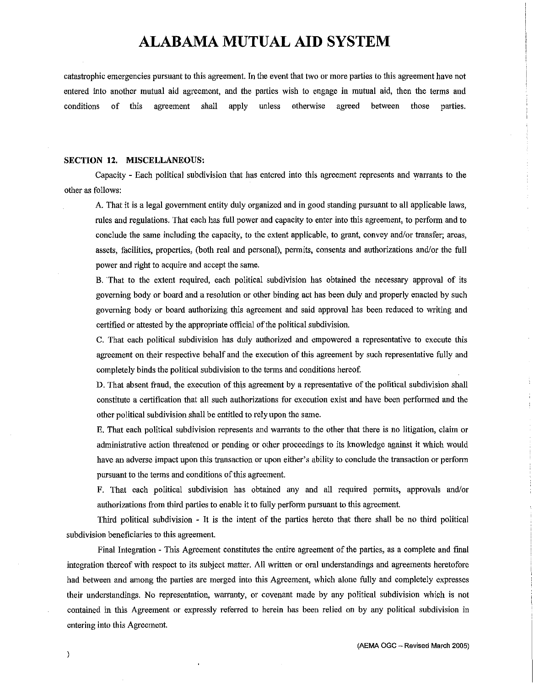catastrophic emergencies pursuant to this agreement. In the event that two or more parties to this agreement have not entered into another mutual aid agreement, and the parties wish to engage in mutual aid, then the terms and conditions of this agreement shall apply unless otherwise agreed between those parties.

#### **SECTION 12. MISCELLANEOUS:**

Capacity - Each political subdivision that has entered into this agreement represents and warrants to the other as follows:

A. That it is a legal government entity duly organized and in good standing pursuant to all applicable laws, rules and regulations. That each has full power and capacity to enter into this agreement, to perform and to conclude the same including the capacity, to the extent applicable, to grant, convey and/or transfer; areas, assets, facilities, properties, (both real and personal), permits, consents and authorizations and/or the full power and right to acquire and accept the same.

B. That to the extent required, each political subdivision has obtained the necessary approval of its governing body or board and a resolution or other binding act has been duly and properly enacted by such governing body or board authorizing this agreement and said approval has been reduced to writing and certified or attested by the appropriate official of the political subdivision.

C. That each political subdivision has duly authorized and empowered a representative to execute this agreement on their respective behalf and the execution of this agreement by such representative fully and completely binds the political subdivision to the terms and conditions hereof.

D. That absent fraud, the execution of this agreement by a representative of the political subdivision shall constitute a certification that all such authorizations for execution exist and have been performed and the other political subdivision shall be entitled to rely upon the same.

E. That each political subdivision represents and warrants to the other that there is no litigation, claim or administrative action threatened or pending or other proceedings to its knowledge against it which would have an adverse impact upon this transaction or upon either's ability to conclude the transaction or perform pursuant to the terms and conditions of this agreement.

F. That each political subdivision has obtained any and all required permits, approvals and/or authorizations from third parties to enable it to fully perform pursuant to this agreement.

Third political subdivision - It is the intent of the parties hereto that there shall be no third political subdivision beneficiaries to this agreement.

Final Integration - This Agreement constitutes the entire agreement of the parties, as a complete and fmal integration thereof with respect to its subject matter. All written or oral understandings and agreements heretofore had between and among the parties are merged into this Agreement, which alone fully and completely expresses their understandings. No representation, warranty, or covenant made by any political subdivision which is not contained in this Agreement or expressly referred to herein has been relied on by any political subdivision in entering into this Agreement.

 $\mathcal{Y}$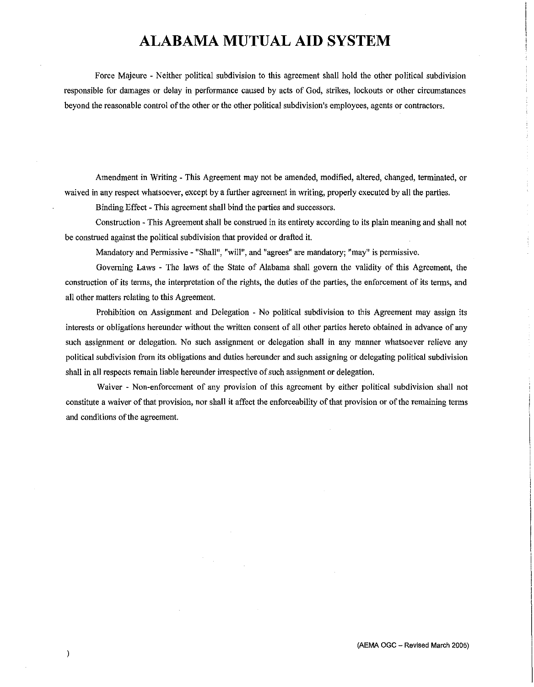Force Majeure - Neither political subdivision to this agreement shall hold the other political subdivision responsible for damages or delay in performance caused by acts of God, strikes, lockouts or other circumstances beyond the reasonable control of the other or the other political subdivision's employees, agents or contractors.

Amendment in Writing - This Agreement may not be amended, modified, altered, changed, terminated, or waived in any respect whatsoever, except by a further agreement in writing, properly executed by all the parties.

Binding Effect - This agreement shall bind the parties and successors.

Construction - This Agreement shall be construed in its entirety according to its plain meaning and shall not be construed against the political subdivision that provided or drafted it.

Mandatory and Permissive - "Shall", "will", and "agrees" are mandatory; "may" is permissive.

Governing Laws - The laws of the State of Alabama shall govern the validity of this Agreement, the construction of its terms, the interpretation of the rights, the duties of the parties, the enforcement of its terms, and all other matters relating to this Agreement.

Prohibition on Assignment and Delegation - No political subdivision to this Agreement may assign its interests or obligations hereunder without the written consent of all other parties hereto obtained in advance of any such assignment or delegation. No such assignment or delegation shall in any manner whatsoever relieve any political subdivision from its obligations and duties hereunder and such assigning or delegating political subdivision shall in all respects remain liable hereunder irrespective of such assignment or delegation.

Waiver - Non-enforcement of any provision of this agreement by either political subdivision shall not constitute a waiver of that provision, nor shall it affect the enforceability of that provision or of the remaining terms and conditions of the agreement.

 $\mathcal{E}$